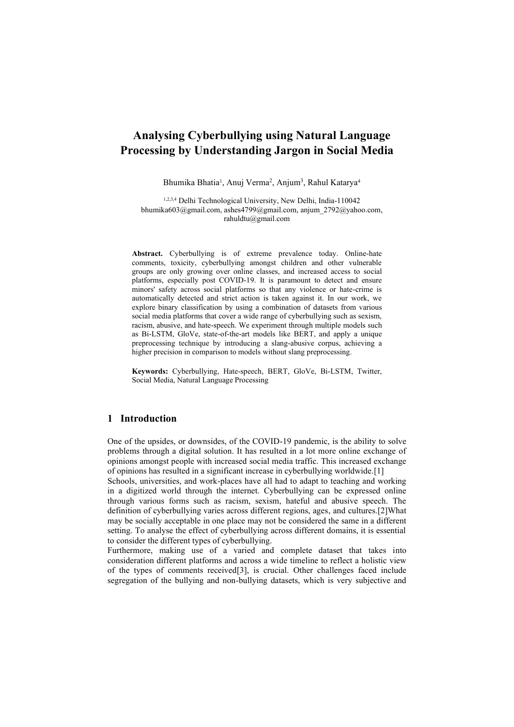# **Analysing Cyberbullying using Natural Language Processing by Understanding Jargon in Social Media**

Bhumika Bhatia<sup>1</sup>, Anuj Verma<sup>2</sup>, Anjum<sup>3</sup>, Rahul Katarya<sup>4</sup>

1,2,3,4 Delhi Technological University, New Delhi, India-110042 bhumika603@gmail.com, ashes4799@gmail.com, anjum\_2792@yahoo.com, rahuldtu@gmail.com

**Abstract.** Cyberbullying is of extreme prevalence today. Online-hate comments, toxicity, cyberbullying amongst children and other vulnerable groups are only growing over online classes, and increased access to social platforms, especially post COVID-19. It is paramount to detect and ensure minors' safety across social platforms so that any violence or hate-crime is automatically detected and strict action is taken against it. In our work, we explore binary classification by using a combination of datasets from various social media platforms that cover a wide range of cyberbullying such as sexism, racism, abusive, and hate-speech. We experiment through multiple models such as Bi-LSTM, GloVe, state-of-the-art models like BERT, and apply a unique preprocessing technique by introducing a slang-abusive corpus, achieving a higher precision in comparison to models without slang preprocessing.

**Keywords:** Cyberbullying, Hate-speech, BERT, GloVe, Bi-LSTM, Twitter, Social Media, Natural Language Processing

### **1 Introduction**

One of the upsides, or downsides, of the COVID-19 pandemic, is the ability to solve problems through a digital solution. It has resulted in a lot more online exchange of opinions amongst people with increased social media traffic. This increased exchange of opinions has resulted in a significant increase in cyberbullying worldwide.[1]

Schools, universities, and work-places have all had to adapt to teaching and working in a digitized world through the internet. Cyberbullying can be expressed online through various forms such as racism, sexism, hateful and abusive speech. The definition of cyberbullying varies across different regions, ages, and cultures.[2]What may be socially acceptable in one place may not be considered the same in a different setting. To analyse the effect of cyberbullying across different domains, it is essential to consider the different types of cyberbullying.

Furthermore, making use of a varied and complete dataset that takes into consideration different platforms and across a wide timeline to reflect a holistic view of the types of comments received[3], is crucial. Other challenges faced include segregation of the bullying and non-bullying datasets, which is very subjective and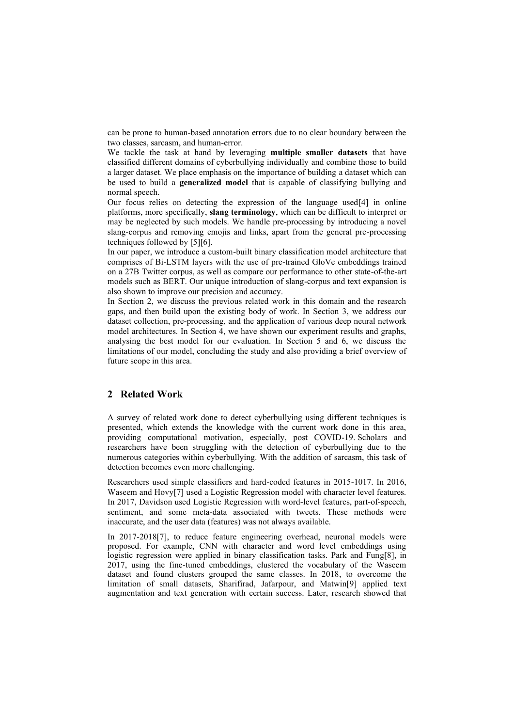can be prone to human-based annotation errors due to no clear boundary between the two classes, sarcasm, and human-error.

We tackle the task at hand by leveraging **multiple smaller datasets** that have classified different domains of cyberbullying individually and combine those to build a larger dataset. We place emphasis on the importance of building a dataset which can be used to build a **generalized model** that is capable of classifying bullying and normal speech.

Our focus relies on detecting the expression of the language used[4] in online platforms, more specifically, **slang terminology**, which can be difficult to interpret or may be neglected by such models. We handle pre-processing by introducing a novel slang-corpus and removing emojis and links, apart from the general pre-processing techniques followed by [5][6].

In our paper, we introduce a custom-built binary classification model architecture that comprises of Bi-LSTM layers with the use of pre-trained GloVe embeddings trained on a 27B Twitter corpus, as well as compare our performance to other state-of-the-art models such as BERT. Our unique introduction of slang-corpus and text expansion is also shown to improve our precision and accuracy.

In Section 2, we discuss the previous related work in this domain and the research gaps, and then build upon the existing body of work. In Section 3, we address our dataset collection, pre-processing, and the application of various deep neural network model architectures. In Section 4, we have shown our experiment results and graphs, analysing the best model for our evaluation. In Section 5 and 6, we discuss the limitations of our model, concluding the study and also providing a brief overview of future scope in this area.

### **2 Related Work**

A survey of related work done to detect cyberbullying using different techniques is presented, which extends the knowledge with the current work done in this area, providing computational motivation, especially, post COVID-19. Scholars and researchers have been struggling with the detection of cyberbullying due to the numerous categories within cyberbullying. With the addition of sarcasm, this task of detection becomes even more challenging.

Researchers used simple classifiers and hard-coded features in 2015-1017. In 2016, Waseem and Hovy[7] used a Logistic Regression model with character level features. In 2017, Davidson used Logistic Regression with word-level features, part-of-speech, sentiment, and some meta-data associated with tweets. These methods were inaccurate, and the user data (features) was not always available.

In 2017-2018[7], to reduce feature engineering overhead, neuronal models were proposed. For example, CNN with character and word level embeddings using logistic regression were applied in binary classification tasks. Park and Fung[8], in 2017, using the fine-tuned embeddings, clustered the vocabulary of the Waseem dataset and found clusters grouped the same classes. In 2018, to overcome the limitation of small datasets, Sharifirad, Jafarpour, and Matwin[9] applied text augmentation and text generation with certain success. Later, research showed that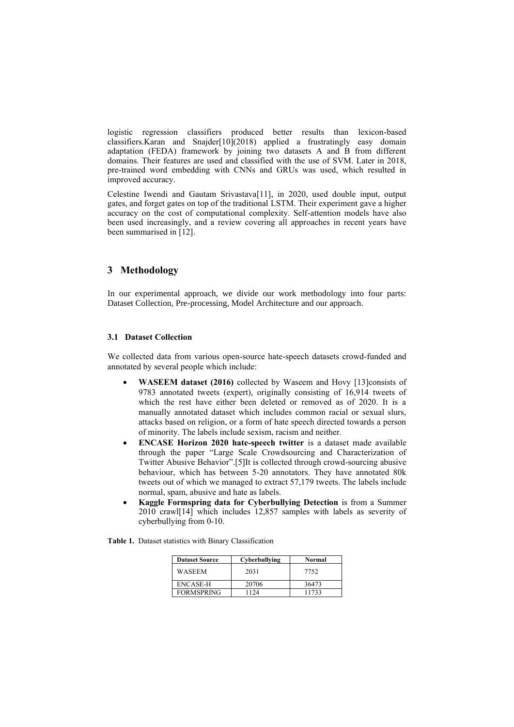logistic regression classifiers produced better results than lexicon-based classifiers.Karan and Snajder[10](2018) applied a frustratingly easy domain adaptation (FEDA) framework by joining two datasets A and B from different domains. Their features are used and classified with the use of SVM. Later in 2018, pre-trained word embedding with CNNs and GRUs was used, which resulted in improved accuracy.

Celestine Iwendi and Gautam Srivastava[11], in 2020, used double input, output gates, and forget gates on top of the traditional LSTM. Their experiment gave a higher accuracy on the cost of computational complexity. Self-attention models have also been used increasingly, and a review covering all approaches in recent years have been summarised in [12].

# **3 Methodology**

In our experimental approach, we divide our work methodology into four parts: Dataset Collection, Pre-processing, Model Architecture and our approach.

### **3.1 Dataset Collection**

We collected data from various open-source hate-speech datasets crowd-funded and annotated by several people which include:

- **WASEEM dataset (2016)** collected by Waseem and Hovy [13]consists of 9783 annotated tweets (expert), originally consisting of 16,914 tweets of which the rest have either been deleted or removed as of 2020. It is a manually annotated dataset which includes common racial or sexual slurs, attacks based on religion, or a form of hate speech directed towards a person of minority. The labels include sexism, racism and neither.
- **ENCASE Horizon 2020 hate-speech twitter** is a dataset made available through the paper "Large Scale Crowdsourcing and Characterization of Twitter Abusive Behavior".[5]It is collected through crowd-sourcing abusive behaviour, which has between 5-20 annotators. They have annotated 80k tweets out of which we managed to extract 57,179 tweets. The labels include normal, spam, abusive and hate as labels.
- **Kaggle Formspring data for Cyberbullying Detection** is from a Summer 2010 crawl[14] which includes 12,857 samples with labels as severity of cyberbullying from 0-10.

| Dataset Source | Cyberbullying |  |
|----------------|---------------|--|

**Table 1.** Dataset statistics with Binary Classification

| <b>Dataset Source</b> | Cyberbullying | Normal |
|-----------------------|---------------|--------|
| WASEEM                | 2031          | 7752   |
| ENCASE-H              | 20706         | 36473  |
| <b>FORMSPRING</b>     | 1124          | 11733  |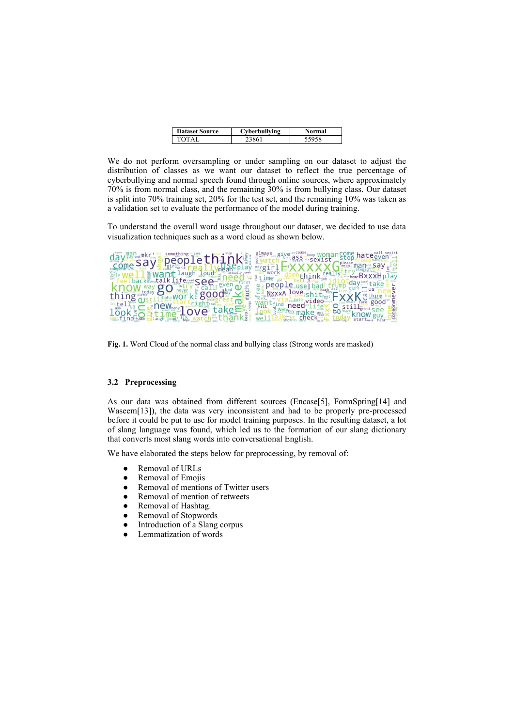| <b>Dataset Source</b> | Cyberbullying | Normal |
|-----------------------|---------------|--------|
| LOTAI                 |               |        |

We do not perform oversampling or under sampling on our dataset to adjust the distribution of classes as we want our dataset to reflect the true percentage of cyberbullying and normal speech found through online sources, where approximately 70% is from normal class, and the remaining 30% is from bullying class. Our dataset is split into 70% training set, 20% for the test set, and the remaining 10% was taken as a validation set to evaluate the performance of the model during training.

To understand the overall word usage throughout our dataset, we decided to use data visualization techniques such as a word cloud as shown below.

| ugy www.sayerpeoplethinka                              | omancome hate <sup>call sex</sup><br>ass <sub>via</sub> sexist |
|--------------------------------------------------------|----------------------------------------------------------------|
|                                                        | mean man say                                                   |
| <b>Want laugh Loud</b><br>back Slongtalk Life read See | home BXXXH play<br><b>uithink</b>                              |
|                                                        | Ldav<br>people                                                 |
| work: good<br>thing                                    | MxxxA love<br>video<br>care good                               |
| $\mathsf{f} \rho$                                      | need a<br>ಯ                                                    |
|                                                        | make Rut                                                       |

**Fig. 1.** Word Cloud of the normal class and bullying class (Strong words are masked)

# **3.2 Preprocessing**

As our data was obtained from different sources (Encase[5], FormSpring[14] and Waseem[13]), the data was very inconsistent and had to be properly pre-processed before it could be put to use for model training purposes. In the resulting dataset, a lot of slang language was found, which led us to the formation of our slang dictionary that converts most slang words into conversational English.

We have elaborated the steps below for preprocessing, by removal of:

- Removal of URLs
- Removal of Emojis
- Removal of mentions of Twitter users
- Removal of mention of retweets
- Removal of Hashtag.
- Removal of Stopwords
- Introduction of a Slang corpus
- Lemmatization of words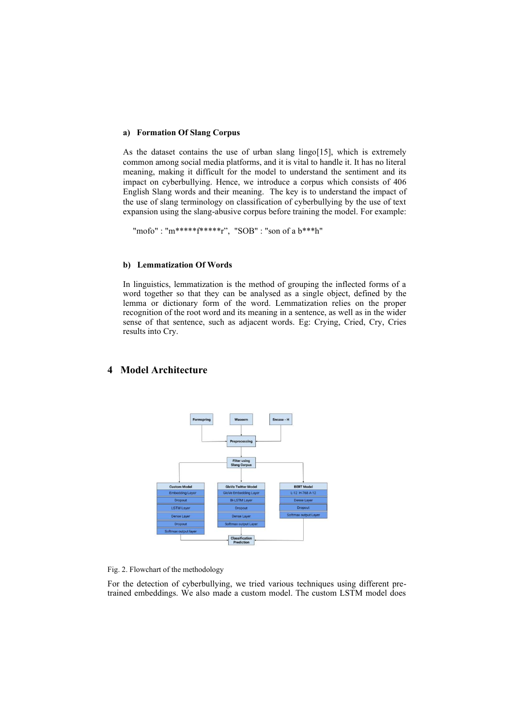#### **a) Formation Of Slang Corpus**

As the dataset contains the use of urban slang lingo[15], which is extremely common among social media platforms, and it is vital to handle it. It has no literal meaning, making it difficult for the model to understand the sentiment and its impact on cyberbullying. Hence, we introduce a corpus which consists of 406 English Slang words and their meaning. The key is to understand the impact of the use of slang terminology on classification of cyberbullying by the use of text expansion using the slang-abusive corpus before training the model. For example:

"mofo" : "m\*\*\*\*\*f\*\*\*\*\*\*r", "SOB" : "son of a b\*\*\*h"

#### **b) Lemmatization Of Words**

In linguistics, lemmatization is the method of grouping the inflected forms of a word together so that they can be analysed as a single object, defined by the lemma or dictionary form of the word. Lemmatization relies on the proper recognition of the root word and its meaning in a sentence, as well as in the wider sense of that sentence, such as adjacent words. Eg: Crying, Cried, Cry, Cries results into Cry.

# **4 Model Architecture**



Fig. 2. Flowchart of the methodology

For the detection of cyberbullying, we tried various techniques using different pretrained embeddings. We also made a custom model. The custom LSTM model does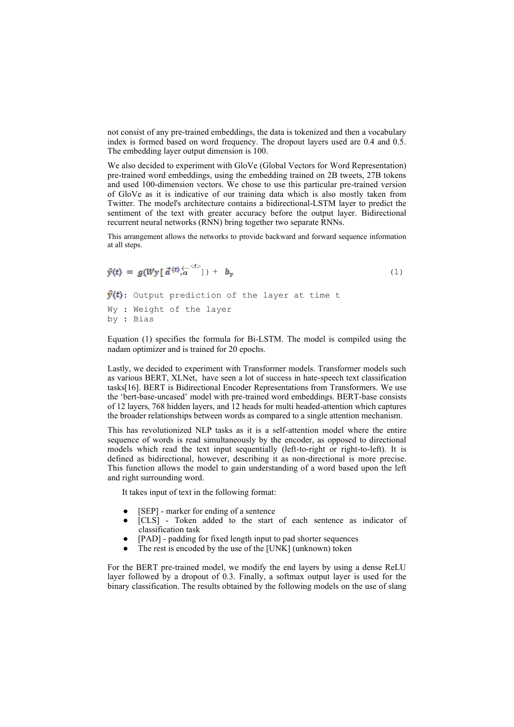not consist of any pre-trained embeddings, the data is tokenized and then a vocabulary index is formed based on word frequency. The dropout layers used are 0.4 and 0.5. The embedding layer output dimension is 100.

We also decided to experiment with GloVe (Global Vectors for Word Representation) pre-trained word embeddings, using the embedding trained on 2B tweets, 27B tokens and used 100-dimension vectors. We chose to use this particular pre-trained version of GloVe as it is indicative of our training data which is also mostly taken from Twitter. The model's architecture contains a bidirectional-LSTM layer to predict the sentiment of the text with greater accuracy before the output layer. Bidirectional recurrent neural networks (RNN) bring together two separate RNNs.

This arrangement allows the networks to provide backward and forward sequence information at all steps.

$$
\hat{y}(t) = g(Wy \left[ \frac{d}{dt}(t) \frac{1}{\sqrt{a}} \right] + b_y
$$
\n
$$
\hat{y}(t): \text{Output prediction of the layer at time } t
$$
\n
$$
Wy: Weight of the layer
$$
\n
$$
by: Bias
$$
\n(1)

Equation (1) specifies the formula for Bi-LSTM. The model is compiled using the nadam optimizer and is trained for 20 epochs.

Lastly, we decided to experiment with Transformer models. Transformer models such as various BERT, XLNet, have seen a lot of success in hate-speech text classification tasks[16]. BERT is Bidirectional Encoder Representations from Transformers. We use the 'bert-base-uncased' model with pre-trained word embeddings. BERT-base consists of 12 layers, 768 hidden layers, and 12 heads for multi headed-attention which captures the broader relationships between words as compared to a single attention mechanism.

This has revolutionized NLP tasks as it is a self-attention model where the entire sequence of words is read simultaneously by the encoder, as opposed to directional models which read the text input sequentially (left-to-right or right-to-left). It is defined as bidirectional, however, describing it as non-directional is more precise. This function allows the model to gain understanding of a word based upon the left and right surrounding word.

It takes input of text in the following format:

- [SEP] marker for ending of a sentence
- [CLS] Token added to the start of each sentence as indicator of classification task
- [PAD] padding for fixed length input to pad shorter sequences
- The rest is encoded by the use of the [UNK] (unknown) token

For the BERT pre-trained model, we modify the end layers by using a dense ReLU layer followed by a dropout of 0.3. Finally, a softmax output layer is used for the binary classification. The results obtained by the following models on the use of slang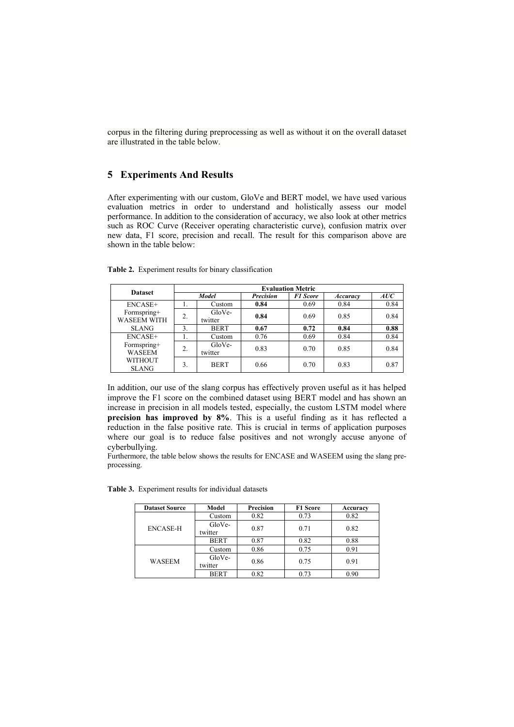corpus in the filtering during preprocessing as well as without it on the overall dataset are illustrated in the table below.

# **5 Experiments And Results**

After experimenting with our custom, GloVe and BERT model, we have used various evaluation metrics in order to understand and holistically assess our model performance. In addition to the consideration of accuracy, we also look at other metrics such as ROC Curve (Receiver operating characteristic curve), confusion matrix over new data, F1 score, precision and recall. The result for this comparison above are shown in the table below:

| <b>Dataset</b>               | <b>Evaluation Metric</b> |                   |                  |                 |          |      |
|------------------------------|--------------------------|-------------------|------------------|-----------------|----------|------|
|                              | Model                    |                   | <b>Precision</b> | <b>F1 Score</b> | Accuracy | AUC  |
| ENCASE+                      |                          | Custom            | 0.84             | 0.69            | 0.84     | 0.84 |
| Formspring+<br>WASEEM WITH   | $\overline{2}$ .         | GloVe-<br>twitter | 0.84             | 0.69            | 0.85     | 0.84 |
| <b>SLANG</b>                 | 3.                       | <b>BERT</b>       | 0.67             | 0.72            | 0.84     | 0.88 |
| ENCASE+                      |                          | Custom            | 0.76             | 0.69            | 0.84     | 0.84 |
| Formspring+<br><b>WASEEM</b> | 2.                       | GloVe-<br>twitter | 0.83             | 0.70            | 0.85     | 0.84 |
| WITHOUT<br><b>SLANG</b>      | 3.                       | <b>BERT</b>       | 0.66             | 0.70            | 0.83     | 0.87 |

**Table 2.** Experiment results for binary classification

In addition, our use of the slang corpus has effectively proven useful as it has helped improve the F1 score on the combined dataset using BERT model and has shown an increase in precision in all models tested, especially, the custom LSTM model where **precision has improved by 8%**. This is a useful finding as it has reflected a reduction in the false positive rate. This is crucial in terms of application purposes where our goal is to reduce false positives and not wrongly accuse anyone of cyberbullying.

Furthermore, the table below shows the results for ENCASE and WASEEM using the slang preprocessing.

| <b>Dataset Source</b> | Model       | Precision | F1 Score | Accuracy |  |
|-----------------------|-------------|-----------|----------|----------|--|
| ENCASE-H              | Custom      | 0.82      | 0.73     | 0.82     |  |
|                       | GloVe-      | 0.87      |          | 0.82     |  |
|                       | twitter     |           | 0.71     |          |  |
|                       | <b>BERT</b> | 0.87      | 0.82     | 0.88     |  |
| <b>WASEEM</b>         | Custom      | 0.86      | 0.75     | 0.91     |  |
|                       | GloVe-      |           | 0.75     |          |  |
|                       | twitter     | 0.86      |          | 0.91     |  |
|                       | <b>BERT</b> | 0.82      | 0.73     | 0.90     |  |

**Table 3.** Experiment results for individual datasets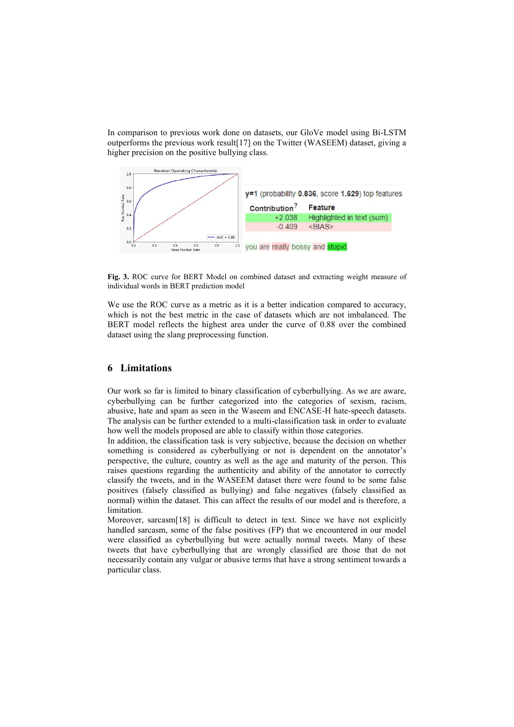In comparison to previous work done on datasets, our GloVe model using Bi-LSTM outperforms the previous work result[17] on the Twitter (WASEEM) dataset, giving a higher precision on the positive bullying class.



**Fig. 3.** ROC curve for BERT Model on combined dataset and extracting weight measure of individual words in BERT prediction model

We use the ROC curve as a metric as it is a better indication compared to accuracy, which is not the best metric in the case of datasets which are not imbalanced. The BERT model reflects the highest area under the curve of 0.88 over the combined dataset using the slang preprocessing function.

### **6 Limitations**

Our work so far is limited to binary classification of cyberbullying. As we are aware, cyberbullying can be further categorized into the categories of sexism, racism, abusive, hate and spam as seen in the Waseem and ENCASE-H hate-speech datasets. The analysis can be further extended to a multi-classification task in order to evaluate how well the models proposed are able to classify within those categories.

In addition, the classification task is very subjective, because the decision on whether something is considered as cyberbullying or not is dependent on the annotator's perspective, the culture, country as well as the age and maturity of the person. This raises questions regarding the authenticity and ability of the annotator to correctly classify the tweets, and in the WASEEM dataset there were found to be some false positives (falsely classified as bullying) and false negatives (falsely classified as normal) within the dataset. This can affect the results of our model and is therefore, a limitation.

Moreover, sarcasm[18] is difficult to detect in text. Since we have not explicitly handled sarcasm, some of the false positives (FP) that we encountered in our model were classified as cyberbullying but were actually normal tweets. Many of these tweets that have cyberbullying that are wrongly classified are those that do not necessarily contain any vulgar or abusive terms that have a strong sentiment towards a particular class.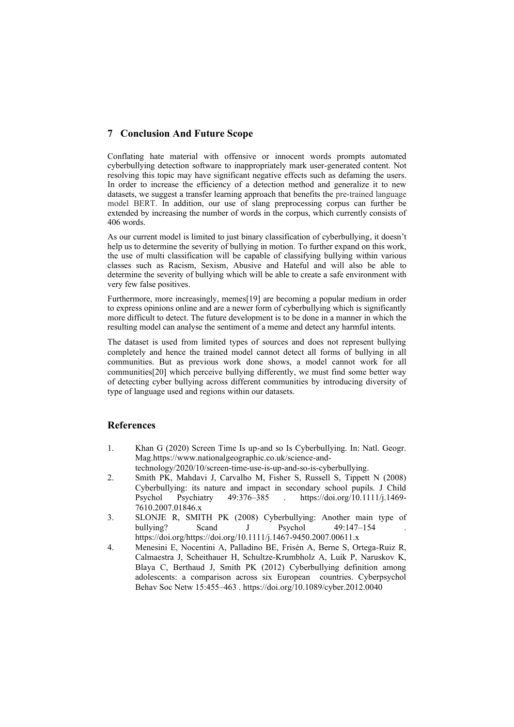# **7 Conclusion And Future Scope**

Conflating hate material with offensive or innocent words prompts automated cyberbullying detection software to inappropriately mark user-generated content. Not resolving this topic may have significant negative effects such as defaming the users. In order to increase the efficiency of a detection method and generalize it to new datasets, we suggest a transfer learning approach that benefits the pre-trained language model BERT. In addition, our use of slang preprocessing corpus can further be extended by increasing the number of words in the corpus, which currently consists of 406 words.

As our current model is limited to just binary classification of cyberbullying, it doesn't help us to determine the severity of bullying in motion. To further expand on this work, the use of multi classification will be capable of classifying bullying within various classes such as Racism, Sexism, Abusive and Hateful and will also be able to determine the severity of bullying which will be able to create a safe environment with very few false positives.

Furthermore, more increasingly, memes[19] are becoming a popular medium in order to express opinions online and are a newer form of cyberbullying which is significantly more difficult to detect. The future development is to be done in a manner in which the resulting model can analyse the sentiment of a meme and detect any harmful intents.

The dataset is used from limited types of sources and does not represent bullying completely and hence the trained model cannot detect all forms of bullying in all communities. But as previous work done shows, a model cannot work for all communities[20] which perceive bullying differently, we must find some better way of detecting cyber bullying across different communities by introducing diversity of type of language used and regions within our datasets.

# **References**

- 1. Khan G (2020) Screen Time Is up-and so Is Cyberbullying. In: Natl. Geogr. Mag.https://www.nationalgeographic.co.uk/science-andtechnology/2020/10/screen-time-use-is-up-and-so-is-cyberbullying.
- 2. Smith PK, Mahdavi J, Carvalho M, Fisher S, Russell S, Tippett N (2008) Cyberbullying: its nature and impact in secondary school pupils. J Child Psychol Psychiatry 49:376–385 . https://doi.org/10.1111/j.1469- 7610.2007.01846.x
- 3. SLONJE R, SMITH PK (2008) Cyberbullying: Another main type of bullying? Scand J Psychol 49:147–154 https://doi.org/https://doi.org/10.1111/j.1467-9450.2007.00611.x
- 4. Menesini E, Nocentini A, Palladino BE, Frisén A, Berne S, Ortega-Ruiz R, Calmaestra J, Scheithauer H, Schultze-Krumbholz A, Luik P, Naruskov K, Blaya C, Berthaud J, Smith PK (2012) Cyberbullying definition among adolescents: a comparison across six European countries. Cyberpsychol Behav Soc Netw 15:455–463 . https://doi.org/10.1089/cyber.2012.0040